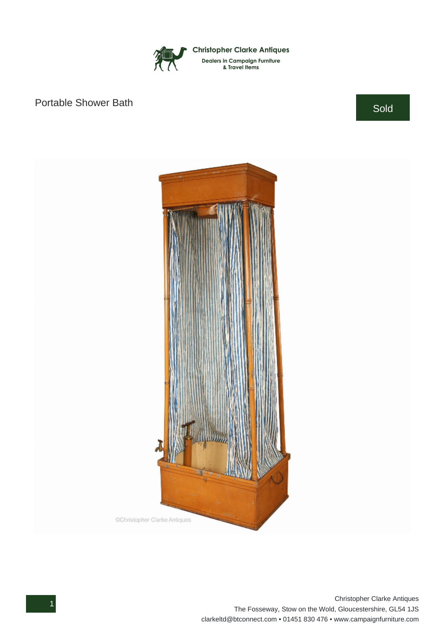

## Portable Shower Bath Sold